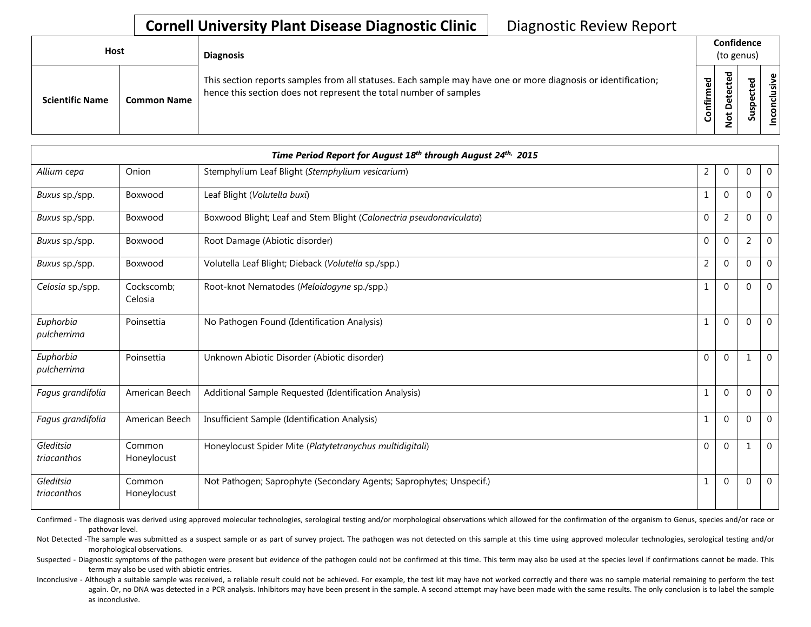| <b>Host</b>            |                    | <b>Diagnosis</b>                                                                                                                                                                   |                     | Confidence<br>(to genus)                          |              |                                             |
|------------------------|--------------------|------------------------------------------------------------------------------------------------------------------------------------------------------------------------------------|---------------------|---------------------------------------------------|--------------|---------------------------------------------|
| <b>Scientific Name</b> | <b>Common Name</b> | This section reports samples from all statuses. Each sample may have one or more diagnosis or identification;<br>hence this section does not represent the total number of samples | ЪЪ<br>∴.<br>눌<br>ပြ | ᅙ<br>ω<br>Φ<br>پ<br>Φ<br>٥<br>$\ddot{\circ}$<br>– | ᇴ<br>꾠<br>ഄഁ | $\mathbf \omega$<br>$\mathbf{S}$<br>᠊ᠣ<br>S |

|                          |                       | Time Period Report for August 18th through August 24th, 2015        |                |                |                |                |
|--------------------------|-----------------------|---------------------------------------------------------------------|----------------|----------------|----------------|----------------|
| Allium cepa              | Onion                 | Stemphylium Leaf Blight (Stemphylium vesicarium)                    | $\overline{2}$ | $\mathbf 0$    | 0              | $\overline{0}$ |
| Buxus sp./spp.           | Boxwood               | Leaf Blight (Volutella buxi)                                        | 1              | $\Omega$       | $\Omega$       | $\mathbf 0$    |
| Buxus sp./spp.           | Boxwood               | Boxwood Blight; Leaf and Stem Blight (Calonectria pseudonaviculata) | $\theta$       | $\overline{2}$ | $\Omega$       | $\mathbf{0}$   |
| Buxus sp./spp.           | Boxwood               | Root Damage (Abiotic disorder)                                      | $\Omega$       | $\Omega$       | $\overline{2}$ | $\mathbf{0}$   |
| Buxus sp./spp.           | Boxwood               | Volutella Leaf Blight; Dieback (Volutella sp./spp.)                 | $\overline{2}$ | $\overline{0}$ | 0              | $\mathbf 0$    |
| Celosia sp./spp.         | Cockscomb;<br>Celosia | Root-knot Nematodes (Meloidogyne sp./spp.)                          | $\mathbf{1}$   | $\Omega$       | $\Omega$       | $\mathbf{0}$   |
| Euphorbia<br>pulcherrima | Poinsettia            | No Pathogen Found (Identification Analysis)                         | $\mathbf{1}$   | $\Omega$       | $\mathbf{0}$   | $\Omega$       |
| Euphorbia<br>pulcherrima | Poinsettia            | Unknown Abiotic Disorder (Abiotic disorder)                         | $\Omega$       | $\Omega$       | 1              | $\mathbf{0}$   |
| Fagus grandifolia        | American Beech        | Additional Sample Requested (Identification Analysis)               | $\mathbf{1}$   | $\Omega$       | 0              | $\Omega$       |
| Fagus grandifolia        | American Beech        | Insufficient Sample (Identification Analysis)                       | $\mathbf{1}$   | $\Omega$       | 0              | $\mathbf{0}$   |
| Gleditsia<br>triacanthos | Common<br>Honeylocust | Honeylocust Spider Mite (Platytetranychus multidigitali)            | $\Omega$       | $\Omega$       | -1             | $\mathbf{0}$   |
| Gleditsia<br>triacanthos | Common<br>Honeylocust | Not Pathogen; Saprophyte (Secondary Agents; Saprophytes; Unspecif.) | $\mathbf{1}$   | $\mathbf 0$    | 0              | $\mathbf 0$    |

Confirmed - The diagnosis was derived using approved molecular technologies, serological testing and/or morphological observations which allowed for the confirmation of the organism to Genus, species and/or race or pathovar level.

Not Detected -The sample was submitted as a suspect sample or as part of survey project. The pathogen was not detected on this sample at this time using approved molecular technologies, serological testing and/or morphological observations.

Suspected - Diagnostic symptoms of the pathogen were present but evidence of the pathogen could not be confirmed at this time. This term may also be used at the species level if confirmations cannot be made. This term may also be used with abiotic entries.

Inconclusive - Although a suitable sample was received, a reliable result could not be achieved. For example, the test kit may have not worked correctly and there was no sample material remaining to perform the test again. Or, no DNA was detected in a PCR analysis. Inhibitors may have been present in the sample. A second attempt may have been made with the same results. The only conclusion is to label the sample as inconclusive.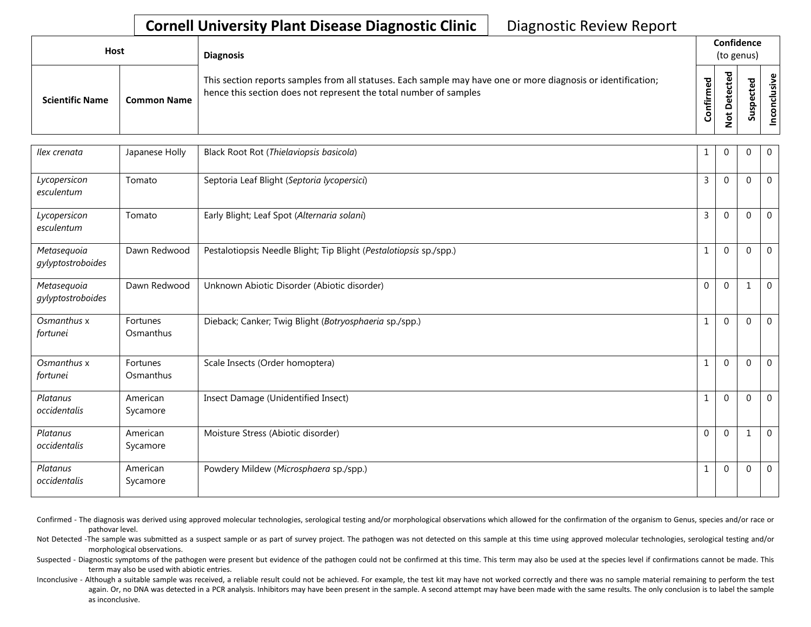| Host                   |                    | <b>Diagnosis</b>                                                                                                                                                                   |                      | Confidence<br>(to genus)                 |                   |                            |  |
|------------------------|--------------------|------------------------------------------------------------------------------------------------------------------------------------------------------------------------------------|----------------------|------------------------------------------|-------------------|----------------------------|--|
| <b>Scientific Name</b> | <b>Common Name</b> | This section reports samples from all statuses. Each sample may have one or more diagnosis or identification;<br>hence this section does not represent the total number of samples | ЪЪ<br>Ě<br>tir<br>ပြ | ਠ<br>്ല<br>ω<br>Φ<br>ᆸ<br>$\overline{5}$ | ᅙ<br>౻<br>ပ<br>ഄഁ | Φ<br>usiv<br>ত<br><u>င</u> |  |

| Ilex crenata                     | Japanese Holly        | Black Root Rot (Thielaviopsis basicola)                            | 1              | $\mathbf{0}$ | $\Omega$     | $\mathbf{0}$ |
|----------------------------------|-----------------------|--------------------------------------------------------------------|----------------|--------------|--------------|--------------|
| Lycopersicon<br>esculentum       | Tomato                | Septoria Leaf Blight (Septoria lycopersici)                        | 3              | $\Omega$     | $\Omega$     | $\mathbf{0}$ |
| Lycopersicon<br>esculentum       | Tomato                | Early Blight; Leaf Spot (Alternaria solani)                        | $\overline{3}$ | $\Omega$     | $\Omega$     | $\mathbf{0}$ |
| Metasequoia<br>gylyptostroboides | Dawn Redwood          | Pestalotiopsis Needle Blight; Tip Blight (Pestalotiopsis sp./spp.) | $\mathbf{1}$   | $\Omega$     | $\Omega$     | $\mathbf{0}$ |
| Metasequoia<br>gylyptostroboides | Dawn Redwood          | Unknown Abiotic Disorder (Abiotic disorder)                        | $\Omega$       | $\Omega$     | $\mathbf{1}$ | $\mathbf 0$  |
| Osmanthus x<br>fortunei          | Fortunes<br>Osmanthus | Dieback; Canker; Twig Blight (Botryosphaeria sp./spp.)             | 1              | $\Omega$     | $\Omega$     | $\mathbf 0$  |
| Osmanthus x<br>fortunei          | Fortunes<br>Osmanthus | Scale Insects (Order homoptera)                                    | 1              | $\Omega$     | $\Omega$     | $\Omega$     |
| Platanus<br>occidentalis         | American<br>Sycamore  | Insect Damage (Unidentified Insect)                                | 1              | $\Omega$     | $\mathbf{0}$ | $\mathbf{0}$ |
| Platanus<br>occidentalis         | American<br>Sycamore  | Moisture Stress (Abiotic disorder)                                 | $\Omega$       | $\Omega$     | 1            | $\mathbf 0$  |
| Platanus<br>occidentalis         | American<br>Sycamore  | Powdery Mildew (Microsphaera sp./spp.)                             | 1              | $\mathbf{0}$ | $\mathbf{0}$ | $\mathbf{0}$ |

Confirmed - The diagnosis was derived using approved molecular technologies, serological testing and/or morphological observations which allowed for the confirmation of the organism to Genus, species and/or race or pathovar level.

Not Detected -The sample was submitted as a suspect sample or as part of survey project. The pathogen was not detected on this sample at this time using approved molecular technologies, serological testing and/or morphological observations.

Suspected - Diagnostic symptoms of the pathogen were present but evidence of the pathogen could not be confirmed at this time. This term may also be used at the species level if confirmations cannot be made. This term may also be used with abiotic entries.

Inconclusive - Although a suitable sample was received, a reliable result could not be achieved. For example, the test kit may have not worked correctly and there was no sample material remaining to perform the test again. Or, no DNA was detected in a PCR analysis. Inhibitors may have been present in the sample. A second attempt may have been made with the same results. The only conclusion is to label the sample as inconclusive.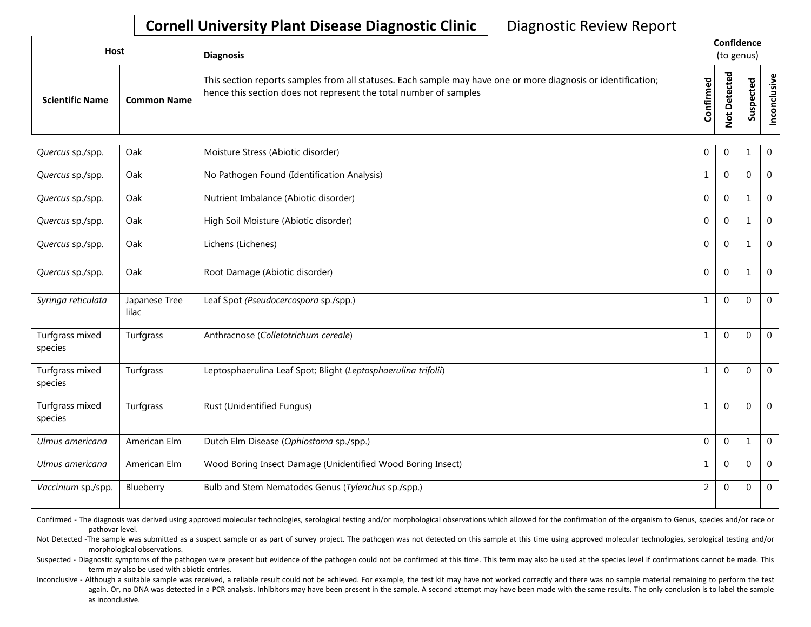| Host                   |                    | <b>Diagnosis</b>                                                                                                                                                                   |              | Confidence<br>(to genus) |                  |  |  |  |  |
|------------------------|--------------------|------------------------------------------------------------------------------------------------------------------------------------------------------------------------------------|--------------|--------------------------|------------------|--|--|--|--|
| <b>Scientific Name</b> | <b>Common Name</b> | This section reports samples from all statuses. Each sample may have one or more diagnosis or identification;<br>hence this section does not represent the total number of samples | ठ<br>._<br>⊷ | 73                       | ω<br>으<br>s<br>n |  |  |  |  |

| Quercus sp./spp.           | Oak                    | Moisture Stress (Abiotic disorder)                             | 0            | $\Omega$    | 1              | $\overline{0}$ |
|----------------------------|------------------------|----------------------------------------------------------------|--------------|-------------|----------------|----------------|
| Quercus sp./spp.           | Oak                    | No Pathogen Found (Identification Analysis)                    | -1           | $\Omega$    | $\Omega$       | $\overline{0}$ |
| Quercus sp./spp.           | Oak                    | Nutrient Imbalance (Abiotic disorder)                          | $\Omega$     | $\Omega$    | 1              | $\overline{0}$ |
| Quercus sp./spp.           | Oak                    | High Soil Moisture (Abiotic disorder)                          | $\Omega$     | $\Omega$    | $\mathbf{1}$   | $\mathbf 0$    |
| Quercus sp./spp.           | Oak                    | Lichens (Lichenes)                                             | $\Omega$     | $\Omega$    | 1              | $\Omega$       |
| Quercus sp./spp.           | Oak                    | Root Damage (Abiotic disorder)                                 | $\mathbf{0}$ | $\Omega$    |                | $\overline{0}$ |
| Syringa reticulata         | Japanese Tree<br>lilac | Leaf Spot (Pseudocercospora sp./spp.)                          | $\mathbf{1}$ | $\Omega$    | $\Omega$       | $\overline{0}$ |
| Turfgrass mixed<br>species | Turfgrass              | Anthracnose (Colletotrichum cereale)                           | 1            | $\Omega$    | $\Omega$       | $\overline{0}$ |
| Turfgrass mixed<br>species | Turfgrass              | Leptosphaerulina Leaf Spot; Blight (Leptosphaerulina trifolii) | 1            | $\Omega$    | $\Omega$       | $\mathbf 0$    |
| Turfgrass mixed<br>species | Turfgrass              | Rust (Unidentified Fungus)                                     | 1            | $\Omega$    | $\Omega$       | $\overline{0}$ |
| Ulmus americana            | American Elm           | Dutch Elm Disease (Ophiostoma sp./spp.)                        | $\Omega$     | $\Omega$    | $\mathbf{1}$   | $\overline{0}$ |
| Ulmus americana            | American Elm           | Wood Boring Insect Damage (Unidentified Wood Boring Insect)    | 1            | $\Omega$    | $\Omega$       | $\mathbf 0$    |
| Vaccinium sp./spp.         | Blueberry              | Bulb and Stem Nematodes Genus (Tylenchus sp./spp.)             | 2            | $\mathbf 0$ | $\overline{0}$ | $\overline{0}$ |

Confirmed - The diagnosis was derived using approved molecular technologies, serological testing and/or morphological observations which allowed for the confirmation of the organism to Genus, species and/or race or pathovar level.

Not Detected -The sample was submitted as a suspect sample or as part of survey project. The pathogen was not detected on this sample at this time using approved molecular technologies, serological testing and/or morphological observations.

Suspected - Diagnostic symptoms of the pathogen were present but evidence of the pathogen could not be confirmed at this time. This term may also be used at the species level if confirmations cannot be made. This term may also be used with abiotic entries.

Inconclusive - Although a suitable sample was received, a reliable result could not be achieved. For example, the test kit may have not worked correctly and there was no sample material remaining to perform the test again. Or, no DNA was detected in a PCR analysis. Inhibitors may have been present in the sample. A second attempt may have been made with the same results. The only conclusion is to label the sample as inconclusive.